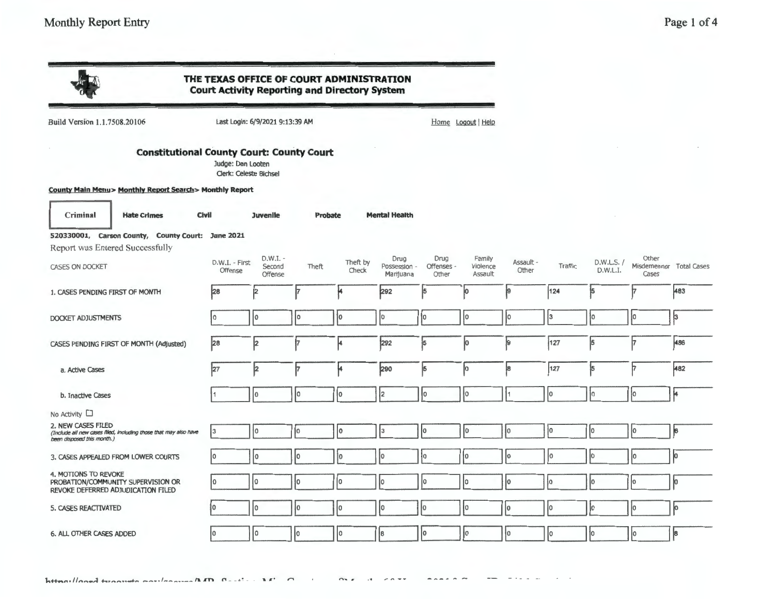|                                                                                                                      | THE TEXAS OFFICE OF COURT ADMINISTRATION<br><b>Court Activity Reporting and Directory System</b> |                                 |         |                   |                                   |                             |                               |                    |         |                        |                                           |     |
|----------------------------------------------------------------------------------------------------------------------|--------------------------------------------------------------------------------------------------|---------------------------------|---------|-------------------|-----------------------------------|-----------------------------|-------------------------------|--------------------|---------|------------------------|-------------------------------------------|-----|
| Build Version 1.1.7508.20106                                                                                         |                                                                                                  | Last Login: 6/9/2021 9:13:39 AM |         |                   |                                   |                             | Home Logout Help              |                    |         |                        |                                           |     |
| <b>Constitutional County Court: County Court</b>                                                                     | Judge: Dan Looten<br><b>Clerk: Celeste Bichsel</b>                                               |                                 |         |                   |                                   |                             |                               |                    |         |                        |                                           |     |
| County Main Menu> Monthly Report Search> Monthly Report                                                              |                                                                                                  |                                 |         |                   |                                   |                             |                               |                    |         |                        |                                           |     |
| Civil<br>Criminal<br><b>Hate Crimes</b>                                                                              |                                                                                                  | <b>Juvenile</b>                 | Probate |                   | <b>Mental Health</b>              |                             |                               |                    |         |                        |                                           |     |
| 520330001, Carson County, County Court: June 2021                                                                    |                                                                                                  |                                 |         |                   |                                   |                             |                               |                    |         |                        |                                           |     |
| Report was Entered Successfully<br><b>CASES ON DOCKET</b>                                                            | D.W.I. - First<br>Offense                                                                        | $D.W.I. -$<br>Second<br>Offense | Theft   | Theft by<br>Check | Drug<br>Possession -<br>Marijuana | Drug<br>Offenses -<br>Other | Family<br>Violence<br>Assault | Assault -<br>Other | Traffic | D.W.L.S. /<br>D.W.L.I. | Other<br>Misdemeanor Total Cases<br>Cases |     |
| 1. CASES PENDING FIRST OF MONTH                                                                                      | 28                                                                                               | 2                               |         |                   | 292                               | 5                           | io.                           | 9                  | 124     | 15                     | ł7                                        | 483 |
| DOCKET ADJUSTMENTS                                                                                                   | I٥                                                                                               | I٥                              | I٥      | 10                | I٥                                | ١o                          | I٥                            | I٥                 | 13      | ١o                     | ŀ٥                                        | 3   |
| CASES PENDING FIRST OF MONTH (Adjusted)                                                                              | 28                                                                                               | þ                               | 17      | μ                 | 292                               | 5                           | Įо                            | ļ9                 | 127     | 5                      | 17                                        | 486 |
| a. Active Cases                                                                                                      | 127                                                                                              | þ                               | 17      | ۴                 | 290                               | 5                           | Įо                            | 8                  | 127     | 5                      | 17                                        | 482 |
| b. Inactive Cases                                                                                                    |                                                                                                  | lo.                             | I٥      | łо                | 12                                | ł٥                          | I٥                            |                    | lо      | Iо                     | ļо                                        | μ   |
| No Activity $\square$                                                                                                |                                                                                                  |                                 |         |                   |                                   |                             |                               |                    |         |                        |                                           |     |
| 2. NEW CASES FILED<br>(Include all new cases filed, including those that may also have<br>been disposed this month.) | l3                                                                                               | l٥                              | I0      | I٥                | lз                                | lo.                         | lо                            | Iо                 | łО      | lo                     | Jо                                        | þ.  |
| 3. CASES APPEALED FROM LOWER COURTS                                                                                  | lo                                                                                               | I٥                              | I٥      | łо                | I0.                               | łо                          | ło                            | Iо                 | Iо      | ÌО                     | lо                                        | ю   |
| 4. MOTIONS TO REVOKE<br>PROBATION/COMMUNITY SUPERVISION OR<br>REVOKE DEFERRED ADJUDICATION FILED                     |                                                                                                  | ٥                               | ١o      | lo.               | I٥                                | I٥                          | I٥                            | lo.                | łо      | Iо                     | lо                                        | Jо  |
| 5. CASES REACTIVATED                                                                                                 |                                                                                                  | I٥                              | l0      | ю                 | I٥                                | I٥                          | Ιo                            | Iо                 | Iо      | ıо                     | Iо                                        | þ   |
| 6. ALL OTHER CASES ADDED                                                                                             | I٥                                                                                               | I٥                              | I٥      | I٥                | 8                                 | 10                          | Iо                            | łо                 | 10      | İ٥                     | ļ٥                                        | 18  |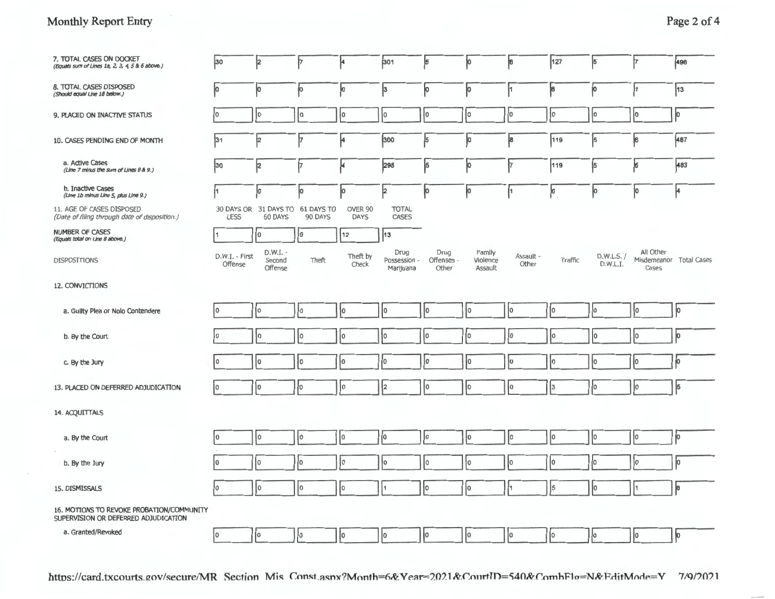| 7. TOTAL CASES ON DOCKET<br>(Equals sum of Lines 1a, 2, 3, 4, 5 & 6 above.)       | 30                        | 2                                           | 17      | ŀ                      | 301                               | ļ5                          | <b>o</b>                      | <sup>8</sup>       | 127     | $\vert$ 5              | 7                  | 496                     |
|-----------------------------------------------------------------------------------|---------------------------|---------------------------------------------|---------|------------------------|-----------------------------------|-----------------------------|-------------------------------|--------------------|---------|------------------------|--------------------|-------------------------|
| <b>8. TOTAL CASES DISPOSED</b><br>(Should equal Line 18 below.)                   | lо                        | Įо                                          | ļо      | þ                      | $\vert$ <sup>3</sup>              | þ                           | p.                            | ł1                 | 18      | Įо                     | 11                 | 13                      |
| 9. PLACED ON INACTIVE STATUS                                                      | I٥                        | ١o                                          | 10      | lо                     | 10                                | 10                          | 10                            | jо                 | 10      | Iо                     | 0                  | łо                      |
| 10. CASES PENDING END OF MONTH                                                    | 31                        | 12                                          | 17      | 4                      | 300                               | 5                           | Jо                            | 8                  | 119     | 5                      | 6                  | 487                     |
| a. Active Cases<br>(Line 7 minus the sum of Lines 8 & 9.)                         | 30                        | þ                                           | 17      | ŀ                      | 298                               | 5                           | jo                            | þ.                 | 119     | 5                      | $\vert$ 6          | 483                     |
| b. Inactive Cases<br>(Line 1b minus Line 5, plus Line 9.)                         | l1                        | Įо                                          | jо      | þ                      | þ                                 | Įо                          | Įо                            | ł1                 | þ       | Įо                     | ۱                  | 4                       |
| 11. AGE OF CASES DISPOSED<br>(Date of filing through date of disposition.)        | <b>LESS</b>               | 30 DAYS OR 31 DAYS TO 61 DAYS TO<br>60 DAYS | 90 DAYS | OVER 90<br><b>DAYS</b> | <b>TOTAL</b><br><b>CASES</b>      |                             |                               |                    |         |                        |                    |                         |
| <b>NUMBER OF CASES</b><br>(Equals total on Line 8 above.)                         |                           | lо                                          | 10      | 12                     | 13                                |                             |                               |                    |         |                        |                    |                         |
| DISPOSITIONS                                                                      | D.W.I. - First<br>Offense | D.W.I. -<br>Second<br>Offense               | Theft   | Theft by<br>Check      | Drug<br>Possession -<br>Marijuana | Drug<br>Offenses -<br>Other | Family<br>Violence<br>Assault | Assault -<br>Other | Traffic | D.W.L.S. /<br>D.W.L.I. | All Other<br>Cases | Misdemeanor Total Cases |
| 12. CONVICTIONS                                                                   |                           |                                             |         |                        |                                   |                             |                               |                    |         |                        |                    |                         |
| a. Guilty Plea or Nolo Contendere                                                 | I٥                        | Į٥                                          | I٥      | łо                     | lo.                               | I٥                          | I٥                            | Iо                 | Iо      | ļо                     | Įо                 | $ 0\rangle$             |
| b. By the Court                                                                   | I٥                        | ١o                                          | I٥      | I٥                     | ١o                                | I٥                          | ÎО                            | lо                 | Iо      | Iо                     | 10                 | <b>l</b> o              |
| c. By the Jury                                                                    | I٥                        | I٥                                          | I٥      | łо                     | lo                                | I٥                          | lo.                           | lо                 | Iо      | łо                     | Iо                 | $\mathbf{I}$            |
| 13. PLACED ON DEFERRED ADJUDICATION                                               | lo.                       | ١o                                          | I٥      | ١o                     | ł2                                | I٥                          | lo.                           | lo                 | lз      | I٥                     | lо                 | $\vert$ 5               |
| 14. ACQUITTALS                                                                    |                           |                                             |         |                        |                                   |                             |                               |                    |         |                        |                    |                         |
| a. By the Court                                                                   | 10                        | I٥                                          | I٥      | Įо                     | lo                                | lo.                         | Iо                            | Iо                 | Iо      | łо                     | I٥                 | $\mathbf{b}$            |
| b. By the Jury                                                                    | lo.                       | Ιo                                          | I٥      | I٥                     | I٥                                | I٥                          | I٥                            | Iо                 | Iо      | łо                     | lо                 | $\vert$ o               |
| 15. DISMISSALS                                                                    | I٥                        | lo                                          | lo.     | I٥                     | 1                                 | lo.                         | łо                            | İ1                 | 5       | lo.                    |                    | 8                       |
| 16. MOTIONS TO REVOKE PROBATION/COMMUNITY<br>SUPERVISION OR DEFERRED ADJUDICATION |                           |                                             |         |                        |                                   |                             |                               |                    |         |                        |                    |                         |
| a. Granted/Revoked                                                                | lo                        | lо                                          | I٥      | $ 0\rangle$            | lо                                | łо                          | Iо                            | $ 0\rangle$        | I٥      | ļо                     | 10                 | Jо                      |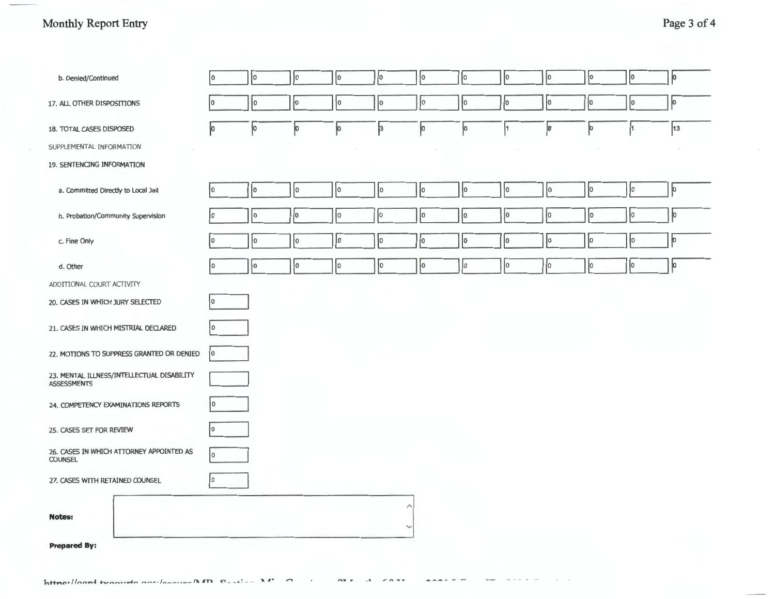| b. Denied/Continued                                              | I٥ | I٥ | I٥ | ÎО | I٥                | Iо | lo. | Jо     | Iо          | łо | $\overline{0}$ | 0         |
|------------------------------------------------------------------|----|----|----|----|-------------------|----|-----|--------|-------------|----|----------------|-----------|
| 17. ALL OTHER DISPOSITIONS                                       | O  | I٥ | l0 | ۱o | lо                | I٥ | Iо  | I٥     | 10          | łо | lо             | 0         |
| 18. TOTAL CASES DISPOSED                                         | þ  | Įо | þО | 10 | þЗ                | Įо | 10  |        | 18          | Jо |                | 13        |
| SUPPLEMENTAL INFORMATION                                         |    |    |    |    |                   |    |     | $\sim$ |             |    |                |           |
| 19. SENTENCING INFORMATION                                       |    |    |    |    |                   |    |     |        |             |    |                |           |
| a. Committed Directly to Local Jail                              | ١o | I٥ | I٥ | ł0 | Iо                | lо | łо  | l0     | $ 0\rangle$ | Iо | łо             | $\vert$ o |
| b. Probation/Community Supervision                               | I٥ | I٥ | Iо | Iо | Iо                | I٥ | I٥  | lo.    | Iо          | I٥ | 10             | jо        |
| c. Fine Only                                                     | ١o | ł٥ | ł٥ | I٥ | łо                | İ٥ | I٥  | lо     | lо          | Iо | Įо             | ļо        |
| d. Other                                                         | I٥ | 10 | Į0 | 10 | łо                | Jо | Iо  | lо     | $ 0\rangle$ | Įо | $ 0\rangle$    | o         |
| ADDITIONAL COURT ACTIVITY                                        |    |    |    |    |                   |    |     |        |             |    |                |           |
| 20. CASES IN WHICH JURY SELECTED                                 | I٥ |    |    |    |                   |    |     |        |             |    |                |           |
| 21. CASES IN WHICH MISTRIAL DECLARED                             | l٥ |    |    |    |                   |    |     |        |             |    |                |           |
| 22. MOTIONS TO SUPPRESS GRANTED OR DENIED                        | 10 |    |    |    |                   |    |     |        |             |    |                |           |
| 23. MENTAL ILLNESS/INTELLECTUAL DISABILITY<br><b>ASSESSMENTS</b> |    |    |    |    |                   |    |     |        |             |    |                |           |
| 24. COMPETENCY EXAMINATIONS REPORTS                              | l٥ |    |    |    |                   |    |     |        |             |    |                |           |
| 25. CASES SET FOR REVIEW                                         | I٥ |    |    |    |                   |    |     |        |             |    |                |           |
| 26. CASES IN WHICH ATTORNEY APPOINTED AS<br><b>COUNSEL</b>       | l٥ |    |    |    |                   |    |     |        |             |    |                |           |
| 27. CASES WITH RETAINED COUNSEL                                  | I٥ |    |    |    |                   |    |     |        |             |    |                |           |
| <b>Notes:</b>                                                    |    |    |    |    | л<br>$\checkmark$ |    |     |        |             |    |                |           |
| <b>Prepared By:</b>                                              |    |    |    |    |                   |    |     |        |             |    |                |           |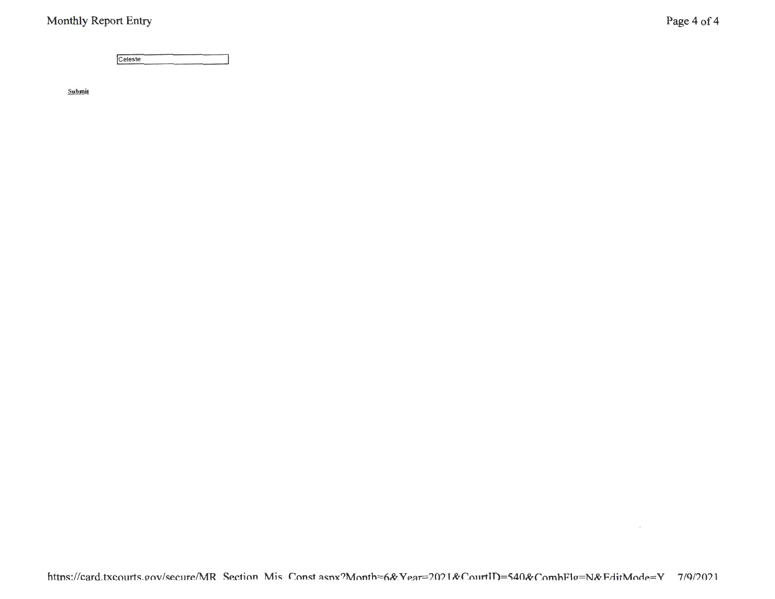Celeste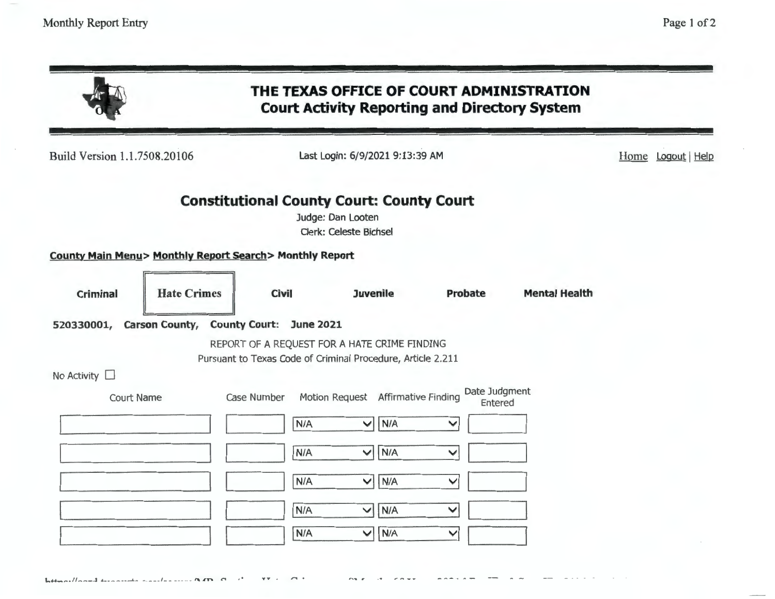| Build Version 1.1.7508.20106                            |                    |                                                             | Last Login: 6/9/2021 9:13:39 AM                    |                          |                      | Home Logout Help |
|---------------------------------------------------------|--------------------|-------------------------------------------------------------|----------------------------------------------------|--------------------------|----------------------|------------------|
|                                                         |                    | <b>Constitutional County Court: County Court</b>            | Judge: Dan Looten<br><b>Clerk: Celeste Bichsel</b> |                          |                      |                  |
| County Main Menu> Monthly Report Search> Monthly Report |                    |                                                             |                                                    |                          |                      |                  |
| <b>Criminal</b>                                         | <b>Hate Crimes</b> | <b>Civil</b>                                                | <b>Juvenile</b>                                    | Probate                  | <b>Mental Health</b> |                  |
| 520330001, Carson County, County Court:                 |                    | <b>June 2021</b>                                            |                                                    |                          |                      |                  |
|                                                         |                    | REPORT OF A REQUEST FOR A HATE CRIME FINDING                |                                                    |                          |                      |                  |
| No Activity $\square$                                   |                    | Pursuant to Texas Code of Criminal Procedure, Article 2.211 |                                                    |                          |                      |                  |
| <b>Court Name</b>                                       |                    | Case Number                                                 | Motion Request Affirmative Finding                 | Date Judgment<br>Entered |                      |                  |
|                                                         |                    | N/A                                                         | $\vee$ N/A                                         | $\checkmark$             |                      |                  |
|                                                         |                    | N/A                                                         | N/A<br>$\blacktriangledown$                        | ∨                        |                      |                  |
|                                                         |                    | N/A                                                         | N/A<br>$\blacktriangledown$                        | $\checkmark$             |                      |                  |
|                                                         |                    | N/A                                                         | N/A<br>$\checkmark$                                | $\checkmark$             |                      |                  |
|                                                         |                    | N/A                                                         | N/A<br>$\blacktriangledown$                        | $\checkmark$             |                      |                  |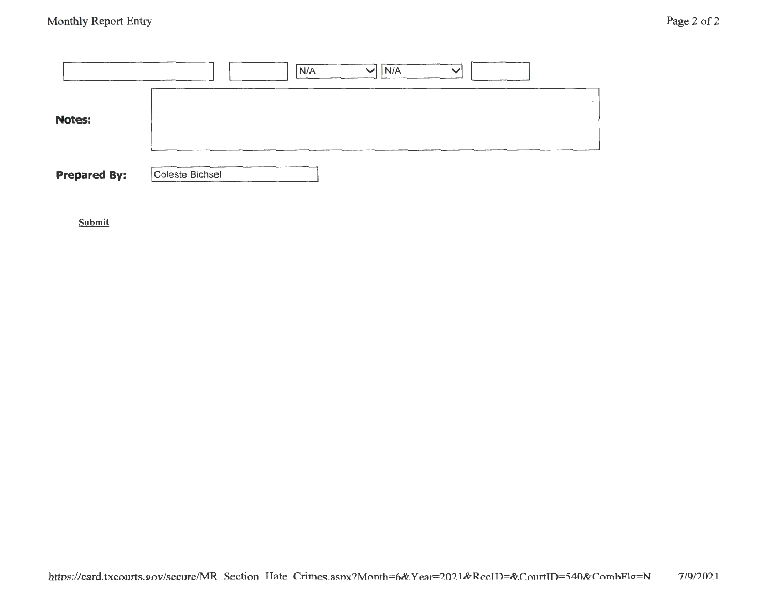|                     | N/A<br>N/A<br>$\checkmark$<br>$\checkmark$ |
|---------------------|--------------------------------------------|
| <b>Notes:</b>       |                                            |
| <b>Prepared By:</b> | Celeste Bichsel                            |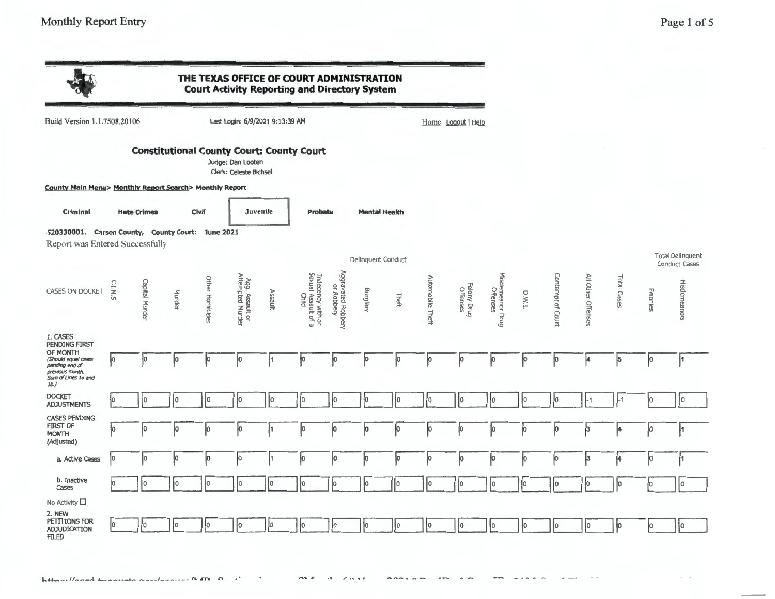|                                                                                                        |                |                    |        |                 |                                             |          | THE TEXAS OFFICE OF COURT ADMINISTRATION<br><b>Court Activity Reporting and Directory System</b> |                                  |                    |                      |                  |                         |                              |        |                   |                    |             |          |                                                 |
|--------------------------------------------------------------------------------------------------------|----------------|--------------------|--------|-----------------|---------------------------------------------|----------|--------------------------------------------------------------------------------------------------|----------------------------------|--------------------|----------------------|------------------|-------------------------|------------------------------|--------|-------------------|--------------------|-------------|----------|-------------------------------------------------|
| Build Version 1.1.7508.20106                                                                           |                |                    |        |                 | Last Login: 6/9/2021 9:13:39 AM             |          |                                                                                                  |                                  |                    |                      |                  | Home Logout Help        |                              |        |                   |                    |             |          |                                                 |
|                                                                                                        |                |                    |        |                 | Judge: Dan Looten<br>Clerk: Celeste Bichsel |          | <b>Constitutional County Court: County Court</b>                                                 |                                  |                    |                      |                  |                         |                              |        |                   |                    |             |          |                                                 |
| County Main Menu> Monthly Report Search> Monthly Report                                                |                |                    |        |                 |                                             |          |                                                                                                  |                                  |                    |                      |                  |                         |                              |        |                   |                    |             |          |                                                 |
| Criminal                                                                                               |                | <b>Hate Crimes</b> |        | Civil           |                                             | Juvenile | Probate                                                                                          |                                  |                    | <b>Mental Health</b> |                  |                         |                              |        |                   |                    |             |          |                                                 |
| 520330001, Carson County, County Court: June 2021<br>Report was Entered Successfully                   |                |                    |        |                 |                                             |          |                                                                                                  |                                  |                    |                      |                  |                         |                              |        |                   |                    |             |          |                                                 |
|                                                                                                        |                |                    |        |                 |                                             |          |                                                                                                  |                                  | Delinquent Conduct |                      |                  |                         |                              |        |                   |                    |             |          | <b>Total Delinquent</b><br><b>Conduct Cases</b> |
| <b>CASES ON DOCKET</b>                                                                                 | <b>C.I.N.S</b> | Capital Murder     | Murder | Other Homicides | Agg. Assault or<br>Attempted Murder         | Assault  | Indecency with or<br>Sexual Assault of a<br>Child                                                | Aggravated Robbery<br>or Robbery | Burglary           | Theft                | Automobile Theft | Felony Drug<br>Offenses | Misdemeanor Drug<br>Offenses | D.W.L. | Contempt of Court | All Other Offenses | Total Cases | Felonies | Misdemeanors                                    |
| 1. CASES<br>PENDING FIRST                                                                              |                |                    |        |                 |                                             |          | $\omega$                                                                                         |                                  |                    |                      |                  |                         |                              |        |                   |                    |             |          |                                                 |
| OF MONTH<br>(Should equal cases<br>pending end of<br>previous month.<br>Sum of Lines 1a and<br>$1b.$ ) | ļо             | łо                 | Įо     | Įо              | 0                                           | 1        | ļ0                                                                                               | þО.                              | þ                  | þ                    | ļо               | ļо                      | р                            | jо     | þ                 | 4                  | 5           | Įо       | 1                                               |
| <b>DOCKET</b><br><b>ADJUSTMENTS</b>                                                                    | łО             | ÌО                 | I٥     | I٥              | I٥                                          | 10       | 10                                                                                               | Iо                               | łо                 | I٥                   | ł0               | I٥                      | Iо                           | lо     | lo.               | $-1$               | -1          | 10       | 10                                              |
| <b>CASES PENDING</b><br><b>FIRST OF</b><br><b>MONTH</b><br>(Adjusted)                                  | łо             | Iо                 | ю      | lо              | ю                                           | 1        | IO.                                                                                              | ю                                | ю                  | Iо                   | Iо               |                         | Įо                           | 10     | Įо                | h                  |             | Jо       | þ1                                              |
| a. Active Cases                                                                                        | łо             | lо                 | łо     | lо              | lо                                          |          | ю                                                                                                | ю                                | Įо                 | Ю                    | Įо               | Ю                       | ю                            | jо     | Įо                | 3                  |             | jo.      | ļ1                                              |
| b. Inactive<br>Cases                                                                                   | lо             | I٥                 | O      | I٥              | I٥                                          | l0       | Iо                                                                                               |                                  | łо                 | 10                   | I٥               | l٥                      | l0                           | Jо     | lо                | lо                 | In          | 1o       | I٥                                              |
| No Activity LI<br>2. NEW<br>PETTTIONS FOR<br><b>ADJUDICATION</b><br><b>FILED</b>                       | lо             | I٥                 | lo.    | I٥              | lo                                          | 10       | Iо                                                                                               | lo                               | 10                 | I٥                   | 10               | I٥                      | I٥                           | łо     | Iо                | Iо                 | łо          | l٥       | 1o                                              |

 $\overline{a}$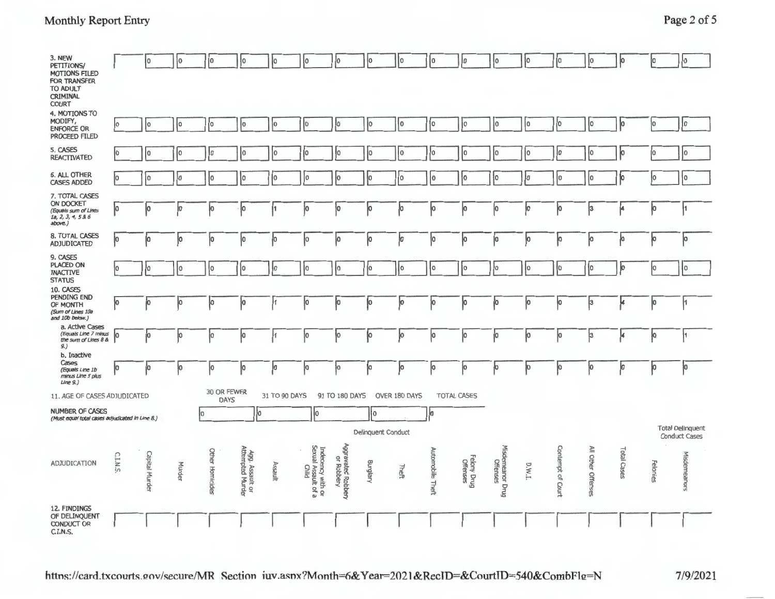| 3. NEW<br>PETITIONS/<br><b>MOTIONS FILED</b><br>FOR TRANSFER<br><b>TO ADULT</b><br>CRIMINAL<br><b>COURT</b> |          | 0              | ļо     | ١o                         | ł٥                                  | ΙO            | łо                                                | Įо                               | 10                 | I٥            | lo                      | I٥                      | I٥                           | ١o     | I٥                | lo.                | ю           | Iо       | <b>O</b>                                        |
|-------------------------------------------------------------------------------------------------------------|----------|----------------|--------|----------------------------|-------------------------------------|---------------|---------------------------------------------------|----------------------------------|--------------------|---------------|-------------------------|-------------------------|------------------------------|--------|-------------------|--------------------|-------------|----------|-------------------------------------------------|
| 4. MOTIONS TO<br>MODIFY,<br><b>ENFORCE OR</b><br>PROCEED FILED                                              | l٥       | ١o             | I٥     | ١o                         | I٥                                  | lо            | I٥                                                | łо                               | I٥                 | I٥            | I٥                      | I٥                      | l0                           | I٥     | I٥                | I٥                 | 10          | I٥       | 1o                                              |
| 5. CASES<br>REACTIVATED                                                                                     | Jo.      | I٥             | I٥     | łо                         | 10                                  | I٥            | I٥                                                | łо                               | Iо                 | 10            | I٥                      | I٥                      | Iо                           | I٥     | Ιo                | łО                 | ю           | I٥       | I٥                                              |
| <b>6. ALL OTHER</b><br><b>CASES ADDED</b>                                                                   | lo       | ŀ٥             | łо     | lо                         | łо                                  | IО            | I٥                                                | Iо                               | łо                 | 10            | lo                      | I0                      | łо                           | I٥     | Iо                | I٥                 | łо          | I٥       | I٥                                              |
| 7. TOTAL CASES<br>ON DOCKET<br>(Equals sum of Lines<br>1a, 2, 3, 4, 5 & 6<br>above.)                        | ļо       | 10             | Įо     | ю                          | ĮО                                  |               | р                                                 | ļо                               | þ                  | Įо            | łо                      | ļо                      | lо                           | Įо     | 10                | 3                  | 4           | þ        | H                                               |
| 8. TOTAL CASES<br><b>ADJUDICATED</b>                                                                        | þ        | Jо             | Įо     | Ĵо                         | łо                                  | Iо            | Įо                                                | ۱o                               | Jо                 | ļо            | łо                      | 10                      | 0                            | łо     | Įо                | lо                 | p           | Įо       | lо                                              |
| 9. CASES<br><b>PLACED ON</b><br><b>INACTIVE</b><br><b>STATUS</b>                                            | I٥       | I٥             | I٥     | lo.                        | I٥                                  | Iо            | I٥                                                | Iо                               | jо                 | I٥            | I٥                      | I٥                      | $ 0\rangle$                  | I٥     | Į0                | 10                 | ю           | Iо       | I٥                                              |
| 10. CASES<br><b>PENDING END</b><br>OF MONTH<br>(Sum of Lines 10a<br>and 10b below.)                         | łо       | ļо             | Įо     | Jо                         | 10                                  |               | 10                                                | ļо                               | Įо                 | Įо            | 10                      | ļо                      | Įо                           | Įо     | Įо                | ļЗ                 | k.          | Įо       | ļ1                                              |
| a. Active Cases<br>(Equals Line 7 minus<br>the sum of Lines 8 &<br>9.)                                      | Iо       | Įо             | þ      | Jо                         | Įо                                  |               | <b>O</b>                                          | ļо                               | ļо                 | þ             | Įо                      | o                       | ļо                           | Jо     | łо                | ļз.                | 4           | Įо       | ł1                                              |
| b. Inactive<br>Cases<br>(Equals Line 1b)<br>minus Line 5 plus<br>Line 9.)                                   | lо       | łо             | Įо     | łо                         | ĮО                                  | łо            | Jо                                                | łо                               | łо                 | Jо            | ю                       | 10                      | łо                           | Įо     | łо                | 10                 | jo          | Įо       | łо                                              |
| 11. AGE OF CASES ADJUDICATED                                                                                |          |                |        | 30 OR FEWER<br><b>DAYS</b> |                                     | 31 TO 90 DAYS |                                                   | 91 TO 180 DAYS                   |                    | OVER 180 DAYS |                         | TOTAL CASES             |                              |        |                   |                    |             |          |                                                 |
| <b>NUMBER OF CASES</b><br>(Must equal total cases adjudicated in Line 8.)                                   |          |                |        | lo.                        | lo.                                 |               | Iо                                                |                                  | I٥                 |               | Įо                      |                         |                              |        |                   |                    |             |          |                                                 |
|                                                                                                             |          |                |        |                            |                                     |               |                                                   |                                  | Delinquent Conduct |               |                         |                         |                              |        |                   |                    |             |          | <b>Total Delinquent</b><br><b>Conduct Cases</b> |
| ADJUDICATION                                                                                                | C.I.N.S. | Capital Murder | Murder | Other Homicides            | Agg. Assault or<br>Attempted Murder | Assault       | Indecency with or<br>Sexual Assault of a<br>Child | Aggravated Robbery<br>or Robbery | Burglary           | Theft         | <b>Automobile Theft</b> | Felony Drug<br>Offenses | Misdemeanor Drug<br>Offenses | D.W.I. | Contempt of Court | All Other Offenses | Total Cases | Felonies | Misdemeanors                                    |
| 12. FINDINGS<br>OF DELINQUENT<br><b>CONDUCT OR</b><br>CINC                                                  |          |                |        |                            |                                     |               |                                                   |                                  |                    |               |                         |                         |                              |        |                   |                    |             |          |                                                 |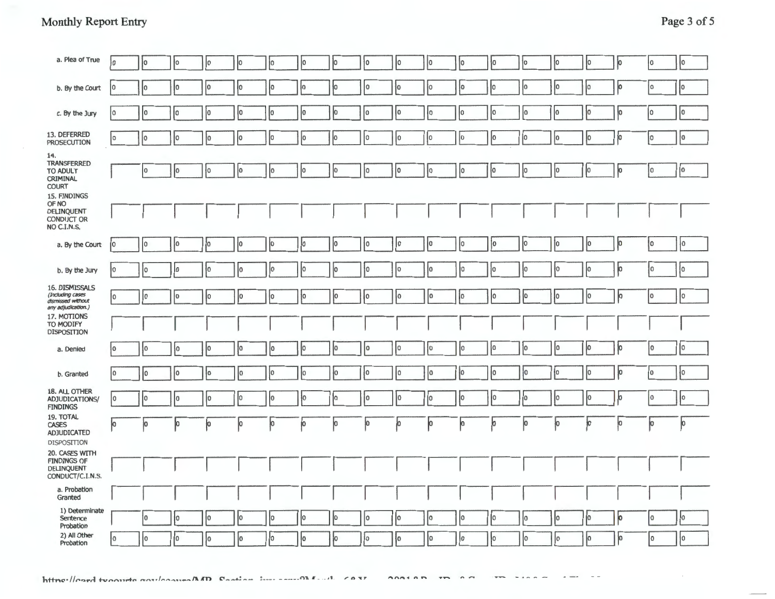| <b>Monthly Report Entry</b> | Page 3 of 5 |
|-----------------------------|-------------|
|                             |             |
|                             |             |

| a. Plea of True                                                                | łо          | 10             | łо              | Iо             | 10 | jо          | Iо | Iо | ļо | I٥ | 10          | 10 | łо | 10 | łО | Įо | ю  | 10  | $ 0\rangle$ |
|--------------------------------------------------------------------------------|-------------|----------------|-----------------|----------------|----|-------------|----|----|----|----|-------------|----|----|----|----|----|----|-----|-------------|
| b. By the Court                                                                | 10          | 10             | I٥              | Iо             | łО | lо          | lо | 10 | 10 | ł٥ | I٥          | łО | 10 | Jо | 10 | 10 | Įо | 10  | 10          |
| c. By the Jury                                                                 | I٥          | 10             | 10              | I٥             | Iо | lо          | Iо | Iо | I٥ | I٥ | I٥          | ıо | lо | I٥ | 10 | 10 | łо | lo. | 10          |
| 13. DEFERRED<br><b>PROSECUTION</b>                                             | lo.         | Iо             | I٥              | Iо             | 10 | lo          | 10 | 10 | 10 | I٥ | I٥          | 10 | I٥ | Įо | 10 | Įо | ļо | ١o  | lo.         |
| 14.<br>TRANSFERRED<br><b>TO ADULT</b><br><b>CRIMINAL</b><br><b>COURT</b>       |             | 10             | 10              | łо             | I٥ | lo.         | lо | lо | 10 | 10 | $ 0\rangle$ | 10 | Įо | ļо | 10 | lо | þ  | 10  | 0           |
| 15. FINDINGS<br>OF NO<br><b>DELINQUENT</b><br><b>CONDUCT OR</b><br>NO C.I.N.S. |             |                |                 |                |    |             |    |    |    |    |             |    |    |    |    |    |    |     |             |
| a. By the Court                                                                | I٥          | $\overline{0}$ | I٥              | ١o             | 10 | jо          | 10 | lо | 10 | 0  | 10          | 10 | ļО | Į0 | 10 | lо | 10 | lo. | ł0          |
| b. By the Jury                                                                 | Įо          | 10             | I٥              | łо             | lо | łО          | Iо | 10 | łО | 10 | I٥          | 10 | łо | łо | łО | 10 | 10 | 0   | 10          |
| 16. DISMISSALS<br>(Including cases<br>dismissed without<br>any adjudication.)  | I٥          | 10             | 10              | Iо             | Iо | Įо          | Į0 | łО | 10 | 0  | 10          | łО | I٥ | I٥ | 10 | 10 | ю  | ٥   | I٥          |
| 17. MOTIONS<br>TO MODIFY<br><b>DISPOSITION</b>                                 |             |                |                 |                |    |             |    |    |    |    |             |    |    |    |    |    |    |     |             |
| a. Denied                                                                      | ł٥          | l0             | 10 <sup>1</sup> | Iо             | łо | lо          | Iо | lо | 10 | 10 | I٥          | I٥ | 10 | ıо | I٥ | łо | łо | ١o  | lo.         |
| b. Granted                                                                     | lo          | I٥             | łо              | ł٥             | I٥ | $ 0\rangle$ | Iо | łо | ł0 | 10 | 10          | I٥ | 10 | łо | łо | 10 | Įо | I٥  | łо          |
| 18. ALL OTHER<br>ADJUDICATIONS/<br><b>FINDINGS</b>                             | 0           | I٥             | 10              | 10             | Iо | 10          | Ю  | ю  | 10 | 10 | Iо          | I٥ | Iо | I٥ | I٥ | 10 | ю  | 0   | I٥          |
| 19. TOTAL<br><b>CASES</b><br>ADJUDICATED<br><b>DISPOSITION</b>                 | łо          | ļо             | Įо              | ļО             | 10 | þ           | ю  | O  | łо | Ю  | Ю           | 10 | 10 | ю  | łО | ю  | Ю  | ļО  | O           |
| 20. CASES WITH<br><b>FINDINGS OF</b><br><b>DELINQUENT</b><br>CONDUCT/C.I.N.S.  |             |                |                 |                |    |             |    |    |    |    |             |    |    |    |    |    |    |     |             |
| a. Probation<br>Granted                                                        |             |                |                 |                |    |             |    |    |    |    |             |    |    |    |    |    |    |     |             |
| 1) Determinate<br>Sentence<br>Probation                                        |             | 10             | łо              | $\overline{0}$ | Įо | 10          | 10 | lо | 10 | lo | I٥          | I٥ | 10 | Jо | Iо | 10 | jо | l0  | Jо          |
| 2) All Other<br>Probation                                                      | $\mathbf 0$ | I٥             | I٥              | łО             | lо | 10          | Iо | łо | I٥ | łо | I٥          | I٥ | łо | Iо | Iо | łо | jо | 10  | I٥          |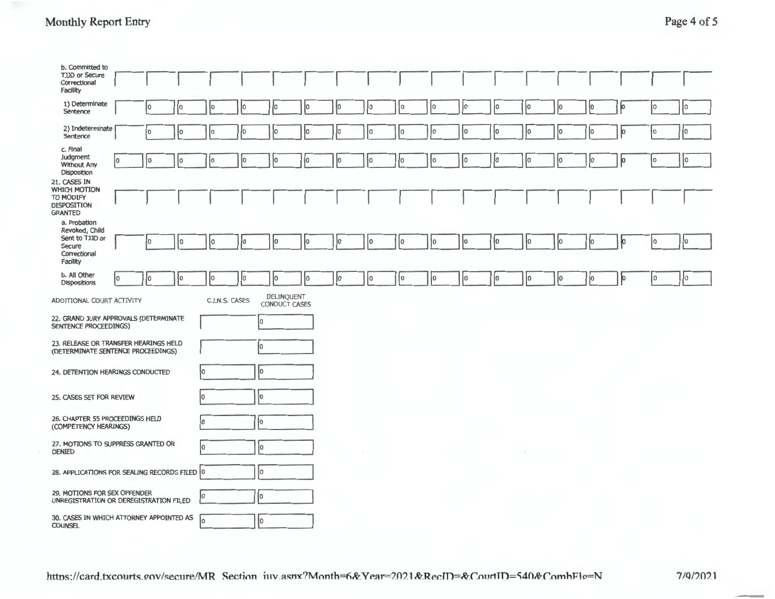## Monthly Report Entry Page 4 of 5

| b. Committed to<br>TJJD or Secure<br>Correctional<br>Facility                           |    |    |    |     |                |                                    |    |    |    |             |     |             |          |        |    |                |     |     |     |
|-----------------------------------------------------------------------------------------|----|----|----|-----|----------------|------------------------------------|----|----|----|-------------|-----|-------------|----------|--------|----|----------------|-----|-----|-----|
| 1) Determinate<br>Sentence                                                              |    | I٥ | 0  | I٥  | I٥             | I٥                                 | Iо | łо | I٥ | l0          | l0. | Ιo          | İ٥       | IО     | ıо | łо             | lо  | 10  | I٥  |
| 2) Indeterminate<br>Sentence                                                            |    | I٥ | I٥ | lo  | I٥             | lо                                 | lО | 10 | łо | I٥          | lo  | lо          | Iо       | I٥     | 10 | 10             | Jо  | O   | I٥  |
| c. Final<br>Judgment<br><b>Without Any</b><br>Disposition                               | Iо | I٥ | I٥ | łо  | ļо             | Įо                                 | 10 | 10 | łо | I٥          | Įо  | I٥          | I٥       | Iо     | 10 | lо             | þ   | I٥  | 0   |
| 21. CASES IN<br>WHICH MOTION<br>TO MODIFY<br><b>DISPOSITION</b><br><b>GRANTED</b>       |    |    |    |     |                |                                    |    |    |    |             |     |             |          |        |    |                |     |     |     |
| a. Probation<br>Revoked, Child<br>Sent to TJJD or<br>Secure<br>Correctional<br>Facility |    | ١o | I٥ | I٥  | łО             | lо                                 | łо | İО | ۱٥ | I٥          | lo. | ١o          | lo.      | łо     | Iо | $\overline{0}$ | ło. | lo. | lo. |
| b. All Other<br><b>Dispositions</b>                                                     | O  | 0  | Iо | I٥  | 10             | lо                                 | ļо | lo | 0  | $ 0\rangle$ | 0   | $ 0\rangle$ | <b>O</b> | 0      | 10 | $ 0\rangle$    | þ   | 0   | o   |
| ADDITIONAL COURT ACTIVITY                                                               |    |    |    |     | C.I.N.S. CASES | DELINQUENT<br><b>CONDUCT CASES</b> |    |    |    |             |     |             |          |        |    |                |     |     |     |
| 22. GRAND JURY APPROVALS (DETERMINATE<br>SENTENCE PROCEEDINGS)                          |    |    |    |     |                | 0                                  |    |    |    |             |     |             |          |        |    |                |     |     |     |
| 23. RELEASE OR TRANSFER HEARINGS HELD<br>(DETERMINATE SENTENCE PROCEEDINGS)             |    |    |    |     |                | Iо                                 |    |    |    |             |     |             |          |        |    |                |     |     |     |
| 24. DETENTION HEARINGS CONDUCTED                                                        |    |    |    | łо  |                | Iо                                 |    |    |    |             |     |             |          |        |    |                |     |     |     |
| 25. CASES SET FOR REVIEW                                                                |    |    |    | lo. |                | lo.                                |    |    |    |             |     |             |          |        |    |                |     |     |     |
| 26. CHAPTER 55 PROCEEDINGS HELD<br>(COMPETENCY HEARINGS)                                |    |    |    | lо  |                | Įо                                 |    |    |    |             |     |             |          |        |    |                |     |     |     |
| 27. MOTIONS TO SUPPRESS GRANTED OR<br><b>DENIED</b>                                     |    |    |    | lо  |                | ÌО                                 |    |    |    |             |     |             |          | $\sim$ |    |                |     |     |     |
| 28. APPLICATIONS FOR SEALING RECORDS FILED 0                                            |    |    |    |     |                | Iо                                 |    |    |    |             |     |             |          |        |    |                |     |     |     |
| 29. MOTIONS FOR SEX OFFENDER<br>UNREGISTRATION OR DEREGISTRATION FILED                  |    |    |    | Iо  |                | Iо                                 |    |    |    |             |     |             |          |        |    |                |     |     |     |
| 30. CASES IN WHICH ATTORNEY APPOINTED AS<br><b>COUNSEL</b>                              |    |    |    | lо  |                | Io.                                |    |    |    |             |     |             |          |        |    |                |     |     |     |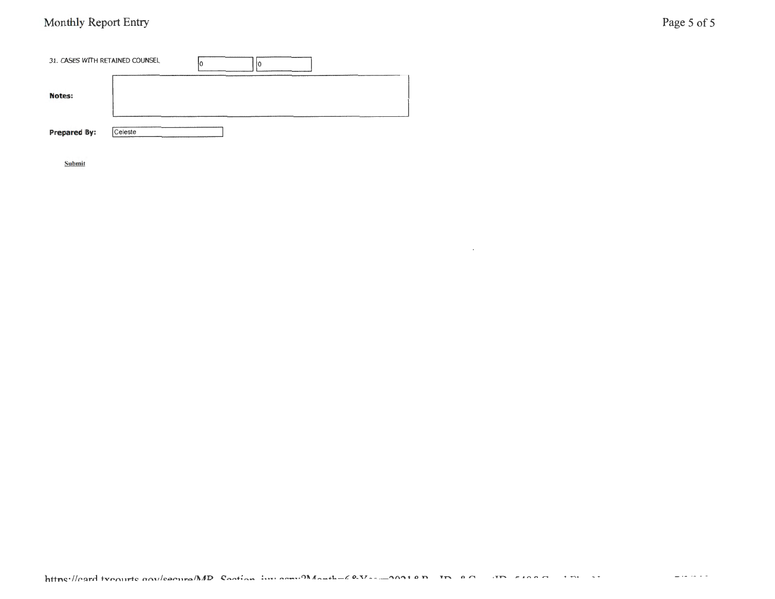# Monthly Report Entry Page 5 of 5

| 31. CASES WITH RETAINED COUNSEL |         |  |
|---------------------------------|---------|--|
| <b>Notes:</b>                   |         |  |
| <b>Prepared By:</b>             | eleste) |  |

Submit

 $\ddot{\phantom{a}}$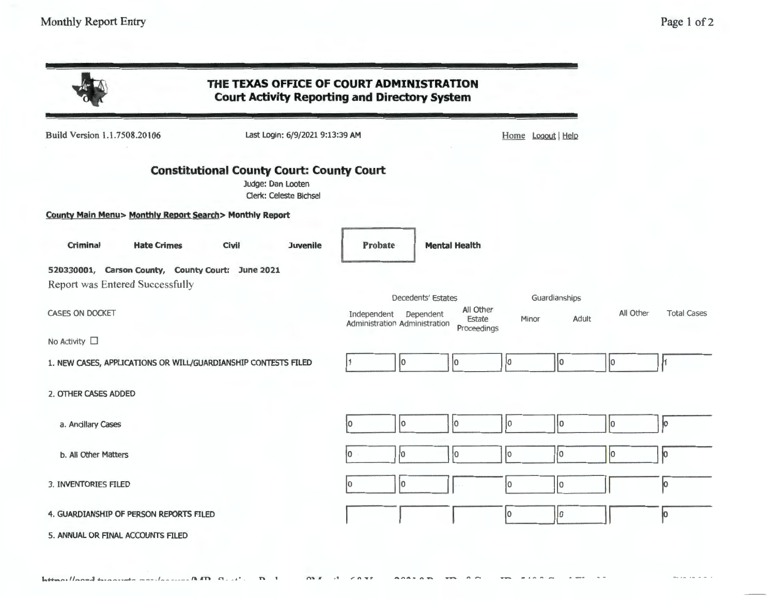$-1 - 1 - 1 =$ 

|                                                                                      | THE TEXAS OFFICE OF COURT ADMINISTRATION<br><b>Court Activity Reporting and Directory System</b> |                                                        |                                                          |                  |                        |           |                    |
|--------------------------------------------------------------------------------------|--------------------------------------------------------------------------------------------------|--------------------------------------------------------|----------------------------------------------------------|------------------|------------------------|-----------|--------------------|
| Build Version 1.1.7508.20106                                                         | Last Login: 6/9/2021 9:13:39 AM                                                                  |                                                        |                                                          | Home Logout Help |                        |           |                    |
|                                                                                      | <b>Constitutional County Court: County Court</b><br>Judge: Dan Looten<br>Clerk: Celeste Bichsel  |                                                        |                                                          |                  |                        |           |                    |
| County Main Menu> Monthly Report Search> Monthly Report                              |                                                                                                  |                                                        |                                                          |                  |                        |           |                    |
| <b>Criminal</b><br><b>Hate Crimes</b>                                                | <b>Civil</b><br><b>Juvenile</b>                                                                  | <b>Probate</b>                                         | <b>Mental Health</b>                                     |                  |                        |           |                    |
| 520330001, Carson County, County Court: June 2021<br>Report was Entered Successfully |                                                                                                  |                                                        |                                                          |                  |                        |           |                    |
| <b>CASES ON DOCKET</b>                                                               |                                                                                                  | Independent Dependent<br>Administration Administration | Decedents' Estates<br>All Other<br>Estate<br>Proceedings | Minor            | Guardianships<br>Adult | All Other | <b>Total Cases</b> |
| No Activity $\square$                                                                |                                                                                                  |                                                        |                                                          |                  |                        |           |                    |
| 1. NEW CASES, APPLICATIONS OR WILL/GUARDIANSHIP CONTESTS FILED                       |                                                                                                  | lo.                                                    | lо                                                       | ١o               | 10                     | jо        | ł1                 |
| 2. OTHER CASES ADDED                                                                 |                                                                                                  |                                                        |                                                          |                  |                        |           |                    |
| a. Ancillary Cases                                                                   |                                                                                                  | I٥<br>O                                                | 10                                                       | Jо               | lo                     | 10        | ю                  |
| b. All Other Matters                                                                 |                                                                                                  | lo                                                     | l٥                                                       | I٥               | ł٥                     | l٥        | łо                 |
| 3. INVENTORIES FILED                                                                 |                                                                                                  | ÌО                                                     |                                                          | I٥               | I٥                     |           |                    |
| 4. GUARDIANSHIP OF PERSON REPORTS FILED                                              |                                                                                                  |                                                        |                                                          | Įо               | 0                      |           | Ю                  |
| 5. ANNUAL OR FINAL ACCOUNTS FILED                                                    |                                                                                                  |                                                        |                                                          |                  |                        |           |                    |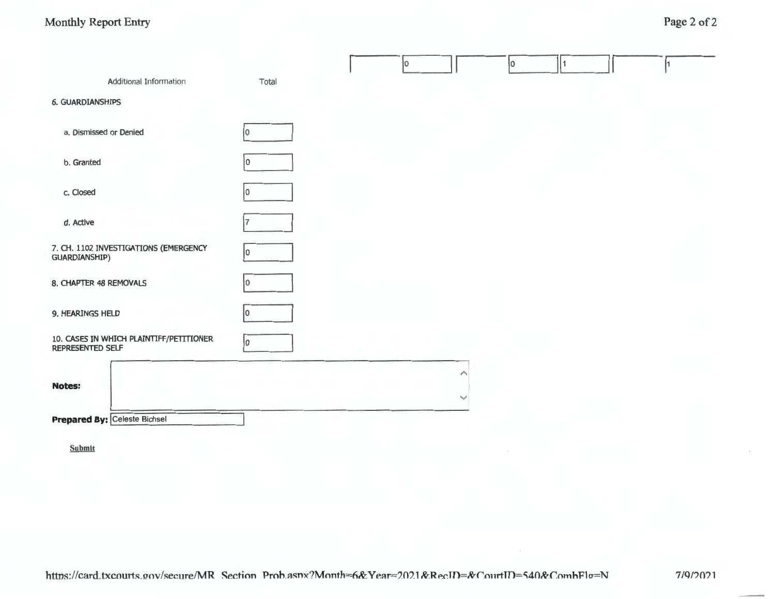|                                                                    |       | łО |   | I٥ |  |  |
|--------------------------------------------------------------------|-------|----|---|----|--|--|
| Additional Information                                             | Total |    |   |    |  |  |
| <b>6. GUARDIANSHIPS</b>                                            |       |    |   |    |  |  |
| a. Dismissed or Denied                                             | 0     |    |   |    |  |  |
| b. Granted                                                         | 0     |    |   |    |  |  |
| c. Closed                                                          |       |    |   |    |  |  |
| d. Active                                                          |       |    |   |    |  |  |
| 7. CH. 1102 INVESTIGATIONS (EMERGENCY<br><b>GUARDIANSHIP)</b>      | 0     |    |   |    |  |  |
| 8. CHAPTER 48 REMOVALS                                             | 0     |    |   |    |  |  |
| 9. HEARINGS HELD                                                   |       |    |   |    |  |  |
| 10. CASES IN WHICH PLAINTIFF/PETITIONER<br><b>REPRESENTED SELF</b> | 0     |    |   |    |  |  |
| <b>Notes:</b>                                                      |       |    | ⌒ |    |  |  |
|                                                                    |       |    |   |    |  |  |
| Prepared By: Celeste Bichsel                                       |       |    |   |    |  |  |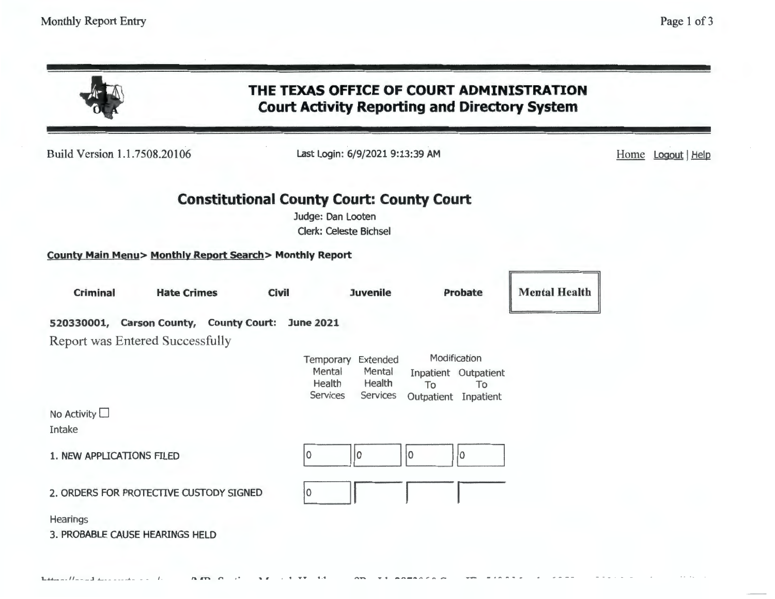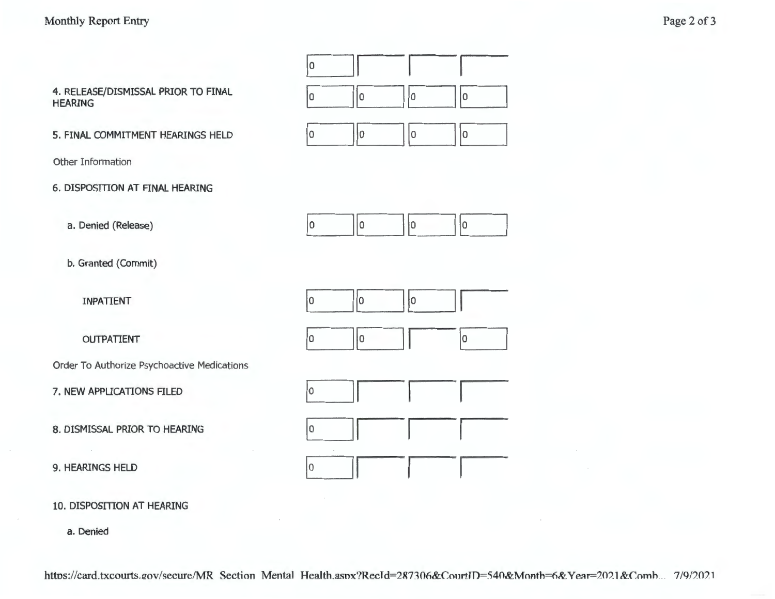

10. DISPOSITION AT HEARING

a. Denied